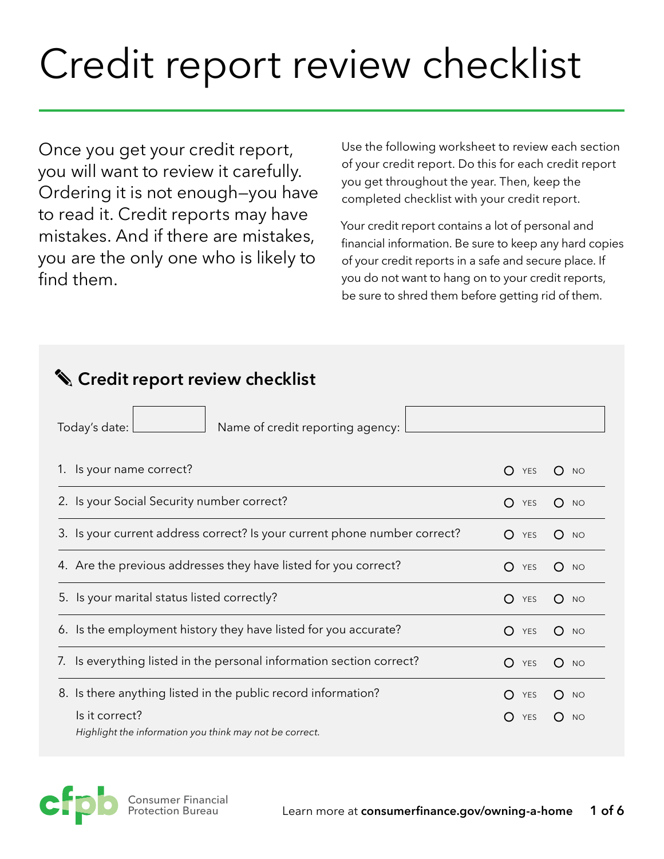# Credit report review checklist

Once you get your credit report, you will want to review it carefully. Ordering it is not enough—you have to read it. Credit reports may have mistakes. And if there are mistakes, you are the only one who is likely to find them.

Use the following worksheet to review each section of your credit report. Do this for each credit report you get throughout the year. Then, keep the completed checklist with your credit report.

Your credit report contains a lot of personal and financial information. Be sure to keep any hard copies of your credit reports in a safe and secure place. If you do not want to hang on to your credit reports, be sure to shred them before getting rid of them.

| S Credit report review checklist                                          |                         |                  |
|---------------------------------------------------------------------------|-------------------------|------------------|
| Today's date:<br>Name of credit reporting agency:                         |                         |                  |
| 1. Is your name correct?                                                  | O<br>YES                | <b>NO</b><br>Ω   |
| 2. Is your Social Security number correct?                                | $\bigcap$<br><b>YES</b> | ( )<br><b>NO</b> |
| 3. Is your current address correct? Is your current phone number correct? | ∩<br><b>YES</b>         | ( )<br><b>NO</b> |
| 4. Are the previous addresses they have listed for you correct?           | O<br>YES                | O<br><b>NO</b>   |
| 5. Is your marital status listed correctly?                               | O<br>YES                | O<br><b>NO</b>   |
| 6. Is the employment history they have listed for you accurate?           | O<br>YES                | ∩<br><b>NO</b>   |
| Is everything listed in the personal information section correct?<br>7.   | O<br>YES                | ∩<br><b>NO</b>   |
| 8. Is there anything listed in the public record information?             | <b>YES</b>              | <b>NO</b>        |
| Is it correct?<br>Highlight the information you think may not be correct. | <b>YES</b><br>O         | <b>NO</b>        |

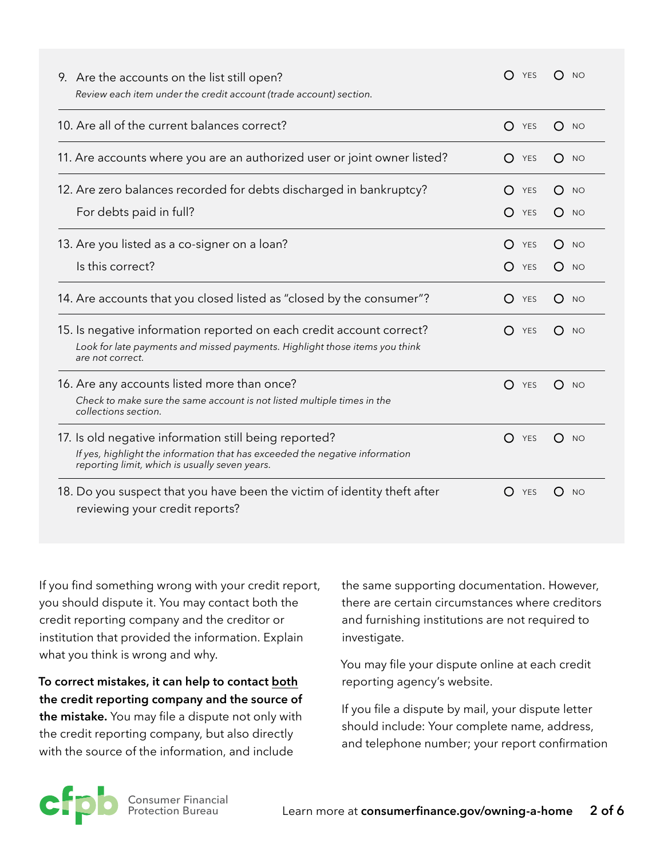| 9. Are the accounts on the list still open?<br>Review each item under the credit account (trade account) section.                                                                       | <b>YES</b>                                                | <b>NO</b>                                                      |
|-----------------------------------------------------------------------------------------------------------------------------------------------------------------------------------------|-----------------------------------------------------------|----------------------------------------------------------------|
| 10. Are all of the current balances correct?                                                                                                                                            | O<br>YES                                                  | $\left( \right)$<br><b>NO</b>                                  |
| 11. Are accounts where you are an authorized user or joint owner listed?                                                                                                                | O<br>YES                                                  | $\left( \right)$<br><b>NO</b>                                  |
| 12. Are zero balances recorded for debts discharged in bankruptcy?<br>For debts paid in full?                                                                                           | ( )<br><b>YES</b><br>$\left( \ \right)$<br>YES            | $\left( \right)$<br><b>NO</b><br>$\left( \right)$<br><b>NO</b> |
| 13. Are you listed as a co-signer on a loan?<br>Is this correct?                                                                                                                        | $\left( \right)$<br><b>YES</b><br>YES<br>$\left( \right)$ | $\bigcirc$<br><b>NO</b><br><b>NO</b><br>$\left( \right)$       |
| 14. Are accounts that you closed listed as "closed by the consumer"?                                                                                                                    | $\bigcirc$<br><b>YES</b>                                  | $\bigcirc$<br><b>NO</b>                                        |
| 15. Is negative information reported on each credit account correct?<br>Look for late payments and missed payments. Highlight those items you think<br>are not correct.                 | () YES                                                    | $\left( \right)$<br><b>NO</b>                                  |
| 16. Are any accounts listed more than once?<br>Check to make sure the same account is not listed multiple times in the<br>collections section.                                          | O<br>YES                                                  | $\left( \right)$<br><b>NO</b>                                  |
| 17. Is old negative information still being reported?<br>If yes, highlight the information that has exceeded the negative information<br>reporting limit, which is usually seven years. | $\left( \right)$<br>YES                                   | $\left( \right)$<br><b>NO</b>                                  |
| 18. Do you suspect that you have been the victim of identity theft after<br>reviewing your credit reports?                                                                              | () YES                                                    | $\left( \right)$<br><b>NO</b>                                  |

If you find something wrong with your credit report, you should dispute it. You may contact both the credit reporting company and the creditor or institution that provided the information. Explain what you think is wrong and why.

**To correct mistakes, it can help to contact both the credit reporting company and the source of the mistake.** You may file a dispute not only with the credit reporting company, but also directly with the source of the information, and include

the same supporting documentation. However, there are certain circumstances where creditors and furnishing institutions are not required to investigate.

You may file your dispute online at each credit reporting agency's website.

If you file a dispute by mail, your dispute letter should include: Your complete name, address, and telephone number; your report confirmation

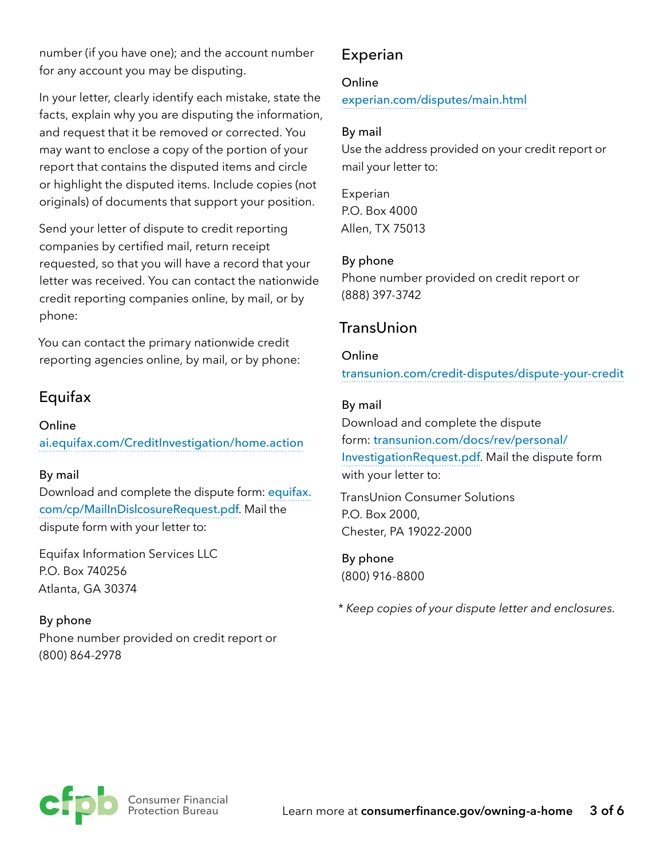number (if you have one); and the account number for any account you may be disputing.

In your letter, clearly identify each mistake, state the facts, explain why you are disputing the information, and request that it be removed or corrected. You may want to enclose a copy of the portion of your report that contains the disputed items and circle or highlight the disputed items. Include copies (not originals) of documents that support your position.

Send your letter of dispute to credit reporting companies by certified mail, return receipt requested, so that you will have a record that your letter was received. You can contact the nationwide credit reporting companies online, by mail, or by phone:

You can contact the primary nationwide credit reporting agencies online, by mail, or by phone:

### Equifax

#### Online

[ai.equifax.com/CreditInvestigation/home.action](https://www.ai.equifax.com/CreditInvestigation/home.action)

#### By mail

Download and complete the dispute form: [equifax.](http://www.equifax.com/cp/MailInDislcosureRequest.pdf) [com/cp/MailInDislcosureRequest.pdf](http://www.equifax.com/cp/MailInDislcosureRequest.pdf). Mail the dispute form with your letter to:

Equifax Information Services LLC P.O. Box 740256 Atlanta, GA 30374

By phone Phone number provided on credit report or (800) 864-2978

## Experian

#### Online

[experian.com/disputes/main.html](http://www.experian.com/disputes/main.html)

#### By mail

Use the address provided on your credit report or mail your letter to:

Experian P.O. Box 4000 Allen, TX 75013

#### By phone

Phone number provided on credit report or (888) 397-3742

# TransUnion

#### Online

[transunion.com/credit-disputes/dispute-your-credit](http://www.transunion.com/credit-disputes/dispute-your-credit)

#### By mail

Download and complete the dispute form: [transunion.com/docs/rev/personal/](http://www.transunion.com/docs/rev/personal/InvestigationRequest.pdf) [InvestigationRequest.pdf](http://www.transunion.com/docs/rev/personal/InvestigationRequest.pdf). Mail the dispute form with your letter to:

TransUnion Consumer Solutions P.O. Box 2000, Chester, PA 19022-2000

By phone (800) 916-8800

*\* Keep copies of your dispute letter and enclosures.*

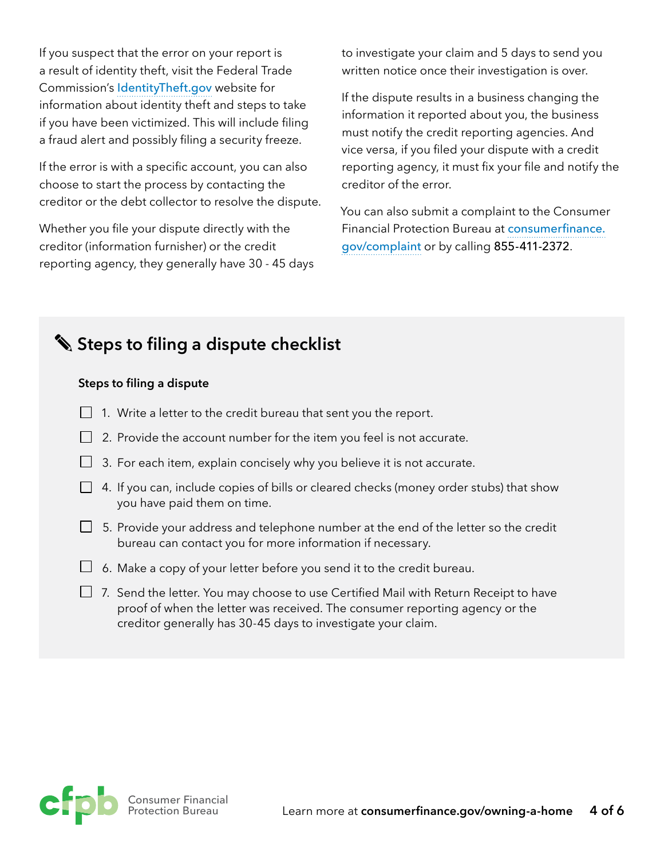If you suspect that the error on your report is a result of identity theft, visit the Federal Trade Commission's [IdentityTheft.gov](http://www.IdentityTheft.gov) website for information about identity theft and steps to take if you have been victimized. This will include filing a fraud alert and possibly filing a security freeze.

If the error is with a specific account, you can also choose to start the process by contacting the creditor or the debt collector to resolve the dispute.

Whether you file your dispute directly with the creditor (information furnisher) or the credit reporting agency, they generally have 30 - 45 days to investigate your claim and 5 days to send you written notice once their investigation is over.

If the dispute results in a business changing the information it reported about you, the business must notify the credit reporting agencies. And vice versa, if you filed your dispute with a credit reporting agency, it must fix your file and notify the creditor of the error.

You can also submit a complaint to the Consumer Financial Protection Bureau at [consumerfinance.](https://www.consumerfinance.gov/complaint) [gov/complaint](https://www.consumerfinance.gov/complaint) or by calling 855-411-2372.

# **Steps to filing a dispute checklist**

#### **Steps to filing a dispute**

- $\Box$  1. Write a letter to the credit bureau that sent you the report.
- $\Box$  2. Provide the account number for the item you feel is not accurate.
- $\Box$  3. For each item, explain concisely why you believe it is not accurate.
- $\Box$  4. If you can, include copies of bills or cleared checks (money order stubs) that show you have paid them on time.
- $\Box$  5. Provide your address and telephone number at the end of the letter so the credit bureau can contact you for more information if necessary.
- $\Box$  6. Make a copy of your letter before you send it to the credit bureau.
- 7. Send the letter. You may choose to use Certified Mail with Return Receipt to have proof of when the letter was received. The consumer reporting agency or the creditor generally has 30-45 days to investigate your claim.

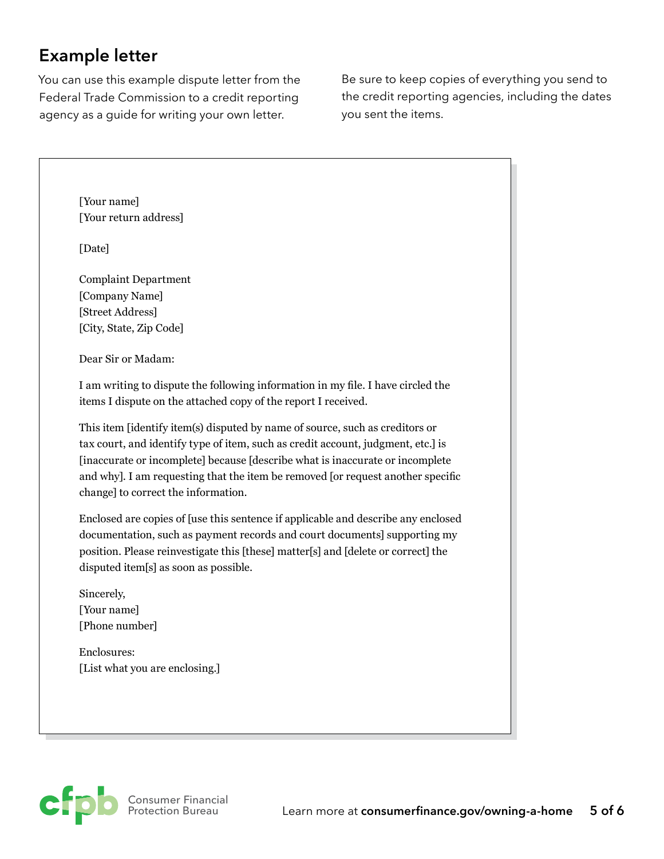# **Example letter**

You can use this example dispute letter from the Federal Trade Commission to a credit reporting agency as a guide for writing your own letter.

Be sure to keep copies of everything you send to the credit reporting agencies, including the dates you sent the items.

[Your name] [Your return address]

[Date]

Complaint Department [Company Name] [Street Address] [City, State, Zip Code]

Dear Sir or Madam:

I am writing to dispute the following information in my file. I have circled the items I dispute on the attached copy of the report I received.

This item [identify item(s) disputed by name of source, such as creditors or tax court, and identify type of item, such as credit account, judgment, etc.] is [inaccurate or incomplete] because [describe what is inaccurate or incomplete and why]. I am requesting that the item be removed [or request another specific change] to correct the information.

Enclosed are copies of [use this sentence if applicable and describe any enclosed documentation, such as payment records and court documents] supporting my position. Please reinvestigate this [these] matter[s] and [delete or correct] the disputed item[s] as soon as possible.

Sincerely, [Your name] [Phone number]

Enclosures: [List what you are enclosing.]